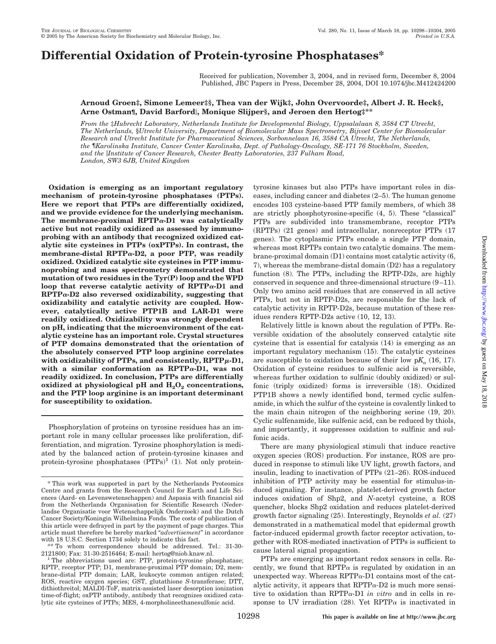# **Differential Oxidation of Protein-tyrosine Phosphatases\***

Received for publication, November 3, 2004, and in revised form, December 8, 2004 Published, JBC Papers in Press, December 28, 2004, DOI 10.1074/jbc.M412424200

### **Arnoud Groen‡, Simone Lemeer‡§, Thea van der Wijk‡, John Overvoorde‡, Albert J. R. Heck§, Arne Ostman¶, David Barford, Monique Slijper§, and Jeroen den Hertog‡\*\***

*From the* ‡*Hubrecht Laboratory, Netherlands Institute for Developmental Biology, Uppsalalaan 8, 3584 CT Utrecht, The Netherlands,* §*Utrecht University, Department of Biomolecular Mass Spectrometry, Bijvoet Center for Biomolecular Research and Utrecht Institute for Pharmaceutical Sciences, Sorbonnelaan 16, 3584 CA Utrecht, The Netherlands, the* ¶*Karolinska Institute, Cancer Center Karolinska, Dept. of Pathology-Oncology, SE-171 76 Stockholm, Sweden, and the Institute of Cancer Research, Chester Beatty Laboratories, 237 Fulham Road, London, SW3 6JB, United Kingdom*

**Oxidation is emerging as an important regulatory mechanism of protein-tyrosine phosphatases (PTPs). Here we report that PTPs are differentially oxidized, and we provide evidence for the underlying mechanism.** The membrane-proximal  $RPTP\alpha$ -D1 was catalytically **active but not readily oxidized as assessed by immunoprobing with an antibody that recognized oxidized catalytic site cysteines in PTPs (oxPTPs). In contrast, the membrane-distal RPTP-D2, a poor PTP, was readily oxidized. Oxidized catalytic site cysteines in PTP immunoprobing and mass spectrometry demonstrated that mutation of two residues in the Tyr(P) loop and the WPD** loop that reverse catalytic activity of  $RPTP\alpha-D1$  and  $RPTP\alpha-D2$  also reversed oxidizability, suggesting that **oxidizability and catalytic activity are coupled. However, catalytically active PTP1B and LAR-D1 were readily oxidized. Oxidizability was strongly dependent on pH, indicating that the microenvironment of the catalytic cysteine has an important role. Crystal structures of PTP domains demonstrated that the orientation of the absolutely conserved PTP loop arginine correlates** with oxidizability of PTPs, and consistently, RPTPµ-D1, with a similar conformation as  $RPTP\alpha-D1$ , was not **readily oxidized. In conclusion, PTPs are differentially** oxidized at physiological pH and  $H_2O_2$  concentrations, **and the PTP loop arginine is an important determinant for susceptibility to oxidation.**

Phosphorylation of proteins on tyrosine residues has an important role in many cellular processes like proliferation, differentiation, and migration. Tyrosine phosphorylation is mediated by the balanced action of protein-tyrosine kinases and protein-tyrosine phosphatases  $(PTPs)^1$  (1). Not only protein-

\*\* To whom correspondence should be addressed. Tel.: 31-30-

tyrosine kinases but also PTPs have important roles in diseases, including cancer and diabetes (2–5). The human genome encodes 103 cysteine-based PTP family members, of which 38 are strictly phosphotyrosine-specific (4, 5). These "classical" PTPs are subdivided into transmembrane, receptor PTPs (RPTPs) (21 genes) and intracellular, nonreceptor PTPs (17 genes). The cytoplasmic PTPs encode a single PTP domain, whereas most RPTPs contain two catalytic domains. The membrane-proximal domain (D1) contains most catalytic activity (6, 7), whereas the membrane-distal domain (D2) has a regulatory function (8). The PTPs, including the RPTP-D2s, are highly conserved in sequence and three-dimensional structure (9 –11). Only two amino acid residues that are conserved in all active PTPs, but not in RPTP-D2s, are responsible for the lack of catalytic activity in RPTP-D2s, because mutation of these residues renders RPTP-D2s active (10, 12, 13).

Relatively little is known about the regulation of PTPs. Reversible oxidation of the absolutely conserved catalytic site cysteine that is essential for catalysis (14) is emerging as an important regulatory mechanism (15). The catalytic cysteines are susceptible to oxidation because of their low  $pK_a$  (16, 17). Oxidation of cysteine residues to sulfenic acid is reversible, whereas further oxidation to sulfinic (doubly oxidized) or sulfonic (triply oxidized) forms is irreversible (18). Oxidized PTP1B shows a newly identified bond, termed cyclic sulfenamide, in which the sulfur of the cysteine is covalently linked to the main chain nitrogen of the neighboring serine (19, 20). Cyclic sulfenamide, like sulfenic acid, can be reduced by thiols, and importantly, it suppresses oxidation to sulfinic and sulfonic acids.

There are many physiological stimuli that induce reactive oxygen species (ROS) production. For instance, ROS are produced in response to stimuli like UV light, growth factors, and insulin, leading to inactivation of PTPs (21–26). ROS-induced inhibition of PTP activity may be essential for stimulus-induced signaling. For instance, platelet-derived growth factor induces oxidation of Shp2, and *N*-acetyl cysteine, a ROS quencher, blocks Shp2 oxidation and reduces platelet-derived growth factor signaling (25). Interestingly, Reynolds *et al.* (27) demonstrated in a mathematical model that epidermal growth factor-induced epidermal growth factor receptor activation, together with ROS-mediated inactivation of PTPs is sufficient to cause lateral signal propagation.

PTPs are emerging as important redox sensors in cells. Recently, we found that  $RPTP\alpha$  is regulated by oxidation in an unexpected way. Whereas  $RPTP\alpha-D1$  contains most of the catalytic activity, it appears that  $RPTP\alpha-D2$  is much more sensitive to oxidation than RPTP $\alpha$ -D1 *in vitro* and in cells in response to UV irradiation (28). Yet RPTP $\alpha$  is inactivated in

<sup>\*</sup> This work was supported in part by the Netherlands Proteomics Centre and grants from the Research Council for Earth and Life Sciences (Aard- en Levenswetenschappen) and Aspasia with financial aid from the Netherlands Organisation for Scientific Research (Nederlandse Organisatie voor Wetenschappelijk Onderzoek) and the Dutch Cancer Society/Koningin Wilhelmina Fonds. The costs of publication of this article were defrayed in part by the payment of page charges. This article must therefore be hereby marked "*advertisement*" in accordance with 18 U.S.C. Section 1734 solely to indicate this fact.

<sup>2121800;</sup> Fax: 31-30-2516464; E-mail: hertog@niob.knaw.nl.<br><sup>1</sup> The abbreviations used are: PTP, protein-tyrosine phosphatase; RPTP, receptor PTP; D1, membrane-proximal PTP domain; D2, membrane-distal PTP domain; LAR, leukocyte common antigen related; ROS, reactive oxygen species; GST, glutathione *S*-transferase; DTT, dithiothreitol; MALDI-ToF, matrix-assisted laser desorption ionization time-of-flight; oxPTP antibody, antibody that recognizes oxidized catalytic site cysteines of PTPs; MES, 4-morpholineethanesulfonic acid.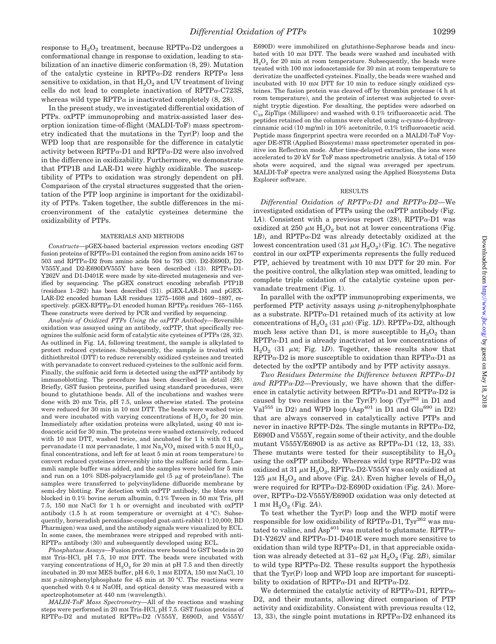response to  $H_2O_2$  treatment, because RPTP $\alpha$ -D2 undergoes a conformational change in response to oxidation, leading to stabilization of an inactive dimeric conformation (8, 29). Mutation of the catalytic cysteine in RPTP $\alpha$ -D2 renders RPTP $\alpha$  less sensitive to oxidation, in that  $H_2O_2$  and UV treatment of living cells do not lead to complete inactivation of  $RPTP\alpha$ -C723S, whereas wild type RPTP $\alpha$  is inactivated completely (8, 28).

In the present study, we investigated differential oxidation of PTPs. oxPTP immunoprobing and matrix-assisted laser desorption ionization time-of-flight (MALDI-ToF) mass spectrometry indicated that the mutations in the Tyr(P) loop and the WPD loop that are responsible for the difference in catalytic activity between RPTP $\alpha$ -D1 and RPTP $\alpha$ -D2 were also involved in the difference in oxidizability. Furthermore, we demonstrate that PTP1B and LAR-D1 were highly oxidizable. The susceptibility of PTPs to oxidation was strongly dependent on pH. Comparison of the crystal structures suggested that the orientation of the PTP loop arginine is important for the oxidizability of PTPs. Taken together, the subtle differences in the microenvironment of the catalytic cysteines determine the oxidizability of PTPs.

#### MATERIALS AND METHODS

*Constructs—*pGEX-based bacterial expression vectors encoding GST fusion proteins of RPTP $\alpha$ -D1 contained the region from amino acids 167 to  $503$  and RPTP $\alpha$ -D2 from amino acids  $504$  to  $793$  (30). D2-E690D, D2-V555Y,and D2-E690D/V555Y have been described (13). RPTP $\alpha$ -D1-Y262V and D1-D401E were made by site-directed mutagenesis and verified by sequencing. The pGEX construct encoding zebrafish PTP1B (residues 1–282) has been described (31). pGEX-LAR-D1 and pGEX-LAR-D2 encoded human LAR residues 1275–1608 and 1609–1897, respectively.  $p$ GEX-RPTP $\mu$ -D1 encoded human RPTP $\mu$  residues 765–1165. These constructs were derived by PCR and verified by sequencing.

*Analysis of Oxidized PTPs Using the oxPTP Antibody—*Reversible oxidation was assayed using an antibody, oxPTP, that specifically recognizes the sulfonic acid form of catalytic site cysteines of PTPs (28, 32). As outlined in Fig. 1*A*, following treatment, the sample is alkylated to protect reduced cysteines. Subsequently, the sample is treated with dithiothreitol (DTT) to reduce reversibly oxidized cysteines and treated with pervanadate to convert reduced cysteines to the sulfonic acid form. Finally, the sulfonic acid form is detected using the oxPTP antibody by immunoblotting. The procedure has been described in detail (28). Briefly, GST fusion proteins, purified using standard procedures, were bound to glutathione beads. All of the incubations and washes were done with 20 mM Tris, pH 7.5, unless otherwise stated. The proteins were reduced for 30 min in 10 mM DTT. The beads were washed twice and were incubated with varying concentrations of  $H_2O_2$  for 20 min. Immediately after oxidation proteins were alkylated, using 40 mM iodoacetic acid for 30 min. The proteins were washed extensively, reduced with 10 mm DTT, washed twice, and incubated for 1 h with  $0.1 \text{ mm}$ pervanadate (1 mM pervanadate, 1 mM  $\text{Na}_3\text{VO}_4$  mixed with 5 mM  $\text{H}_2\text{O}_2$ , final concentrations, and left for at least 5 min at room temperature) to convert reduced cysteines irreversibly into the sulfonic acid form. Laemmli sample buffer was added, and the samples were boiled for 5 min and run on a 10% SDS-polyacrylamide gel  $(5 \mu g)$  of protein/lane). The samples were transferred to polyvinylidene difluoride membrane by semi-dry blotting. For detection with oxPTP antibody, the blots were blocked in 0.1% bovine serum albumin, 0.1% Tween in 50 mM Tris, pH 7.5, 150 mM NaCl for 1 h or overnight and incubated with oxPTP antibody (1.5 h at room temperature or overnight at 4 °C). Subsequently, horseradish peroxidase-coupled goat-anti-rabbit (1:10,000; BD Pharmigen) was used, and the antibody signals were visualized by ECL. In some cases, the membranes were stripped and reprobed with anti- $RPTP\alpha$  antibody (30) and subsequently developed using ECL.

*Phosphatase Assays—*Fusion proteins were bound to GST beads in 20 mM Tris-HCl, pH 7.5, 10 mM DTT. The beads were incubated with varying concentrations of  $H_2O_2$  for 20 min at pH 7.5 and then directly incubated in 20 mM MES buffer, pH 6.0, 1 mM EDTA, 150 mM NaCl, 10 mM *p*-nitrophenylphosphate for 45 min at 30 °C. The reactions were quenched with 0.4 M NaOH, and optical density was measured with a spectrophotometer at 440 nm (wavelength).

*MALDI-ToF Mass Spectrometry—*All of the reactions and washing steps were performed in 20 mM Tris-HCl, pH 7.5. GST fusion proteins of  $RPTP\alpha-D2$  and mutated  $RPTP\alpha-D2$  (V555Y, E690D, and V555Y/

E690D) were immobilized on glutathione-Sepharose beads and incubated with 10 mM DTT. The beads were washed and incubated with  $H<sub>2</sub>O<sub>2</sub>$  for 20 min at room temperature. Subsequently, the beads were treated with 100 mM iodoacetamide for 30 min at room temperature to derivatize the unaffected cysteines. Finally, the beads were washed and incubated with 10 mM DTT for 10 min to reduce singly oxidized cysteines. The fusion protein was cleaved off by thrombin protease (4 h at room temperature), and the protein of interest was subjected to overnight tryptic digestion. For desalting, the peptides were adsorbed on  $C_{18}$  ZipTips (Millipore) and washed with 0.1% trifluoroacetic acid. The peptides retained on the columns were eluted using  $\alpha$ -cyano-4-hydroxycinnamic acid (10 mg/ml) in 10% acetonitrile, 0.1% trifluoroacetic acid. Peptide mass fingerprint spectra were recorded on a MALDI-ToF Voyager DE-STR (Applied Biosystems) mass spectrometer operated in positive ion Reflectron mode. After time-delayed extraction, the ions were accelerated to 20 kV for ToF mass spectrometric analysis. A total of 150 shots were acquired, and the signal was averaged per spectrum. MALDI-ToF spectra were analyzed using the Applied Biosystems Data Explorer software.

#### RESULTS

*Differential Oxidation of RPTP-D1 and RPTP-D2—*We investigated oxidation of PTPs using the oxPTP antibody (Fig. 1A). Consistent with a previous report  $(28)$ , RPTP $\alpha$ -D1 was oxidized at 250  $\mu$ m  $\text{H}_2\text{O}_2$  but not at lower concentrations (Fig. 1*B*), and RPTP $\alpha$ -D2 was already detectably oxidized at the lowest concentration used  $(31 \mu M H_2O_2)$  (Fig. 1*C*). The negative control in our oxPTP experiments represents the fully reduced PTP, achieved by treatment with 10 mm DTT for 20 min. For the positive control, the alkylation step was omitted, leading to complete triple oxidation of the catalytic cysteine upon pervanadate treatment (Fig. 1).

In parallel with the oxPTP immunoprobing experiments, we performed PTP activity assays using *p*-nitrophenylphosphate as a substrate. RPTP $\alpha$ -D1 retained much of its activity at low concentrations of  $\text{H}_2\text{O}_2$  (31  $\mu$ m) (Fig. 1*D*). RPTP $\alpha$ -D2, although much less active than D1, is more susceptible to  $H_2O_2$  than  $RPTP\alpha-D1$  and is already inactivated at low concentrations of  $H_2O_2$  (31  $\mu$ M; Fig. 1*D*). Together, these results show that  $RPTP\alpha-D2$  is more susceptible to oxidation than  $RPTP\alpha-D1$  as detected by the oxPTP antibody and by PTP activity assays.

*Two Residues Determine the Difference between RPTP-D1* and  $RPTP\alpha-D2$ —Previously, we have shown that the difference in catalytic activity between RPTP $\alpha$ -D1 and RPTP $\alpha$ -D2 is caused by two residues in the Tyr(P) loop (Tyr<sup>262</sup> in D1 and Val<sup>555</sup> in D2) and WPD loop (Asp<sup>401</sup> in D1 and Glu<sup>690</sup> in D2) that are always conserved in catalytically active PTPs and never in inactive RPTP-D2s. The single mutants in  $RPTP\alpha$ -D2, E690D and V555Y, regain some of their activity, and the double mutant V555Y/E690D is as active as RPTP $\alpha$ -D1 (12, 13, 33). These mutants were tested for their susceptibility to  $H_2O_2$ using the oxPTP antibody. Whereas wild type  $RPTP\alpha-D2$  was oxidized at 31  $\mu$ m H<sub>2</sub>O<sub>2</sub>, RPTP $\alpha$ -D2-V555Y was only oxidized at 125  $\mu$ <sub>M</sub> H<sub>2</sub>O<sub>2</sub> and above (Fig. 2A). Even higher levels of H<sub>2</sub>O<sub>2</sub> were required for RPTP $\alpha$ -D2-E690D oxidation (Fig. 2A). Moreover, RPTP $\alpha$ -D2-V555Y/E690D oxidation was only detected at  $1 \text{ mm } H_2O_2$  (Fig. 2A).

To test whether the Tyr(P) loop and the WPD motif were responsible for low oxidizability of RPTP $\alpha$ -D1, Tyr<sup>262</sup> was mutated to valine, and Asp<sup>401</sup> was mutated to glutamate. RPTP $\alpha$ -D1-Y262V and RPTP $\alpha$ -D1-D401E were much more sensitive to oxidation than wild type  $RPTP_{\alpha}$ -D1, in that appreciable oxidation was already detected at  $31-62 \mu M H_2O_2$  (Fig. 2*B*), similar to wild type  $RPTP\alpha-D2$ . These results support the hypothesis that the Tyr(P) loop and WPD loop are important for susceptibility to oxidation of RPTP $\alpha$ -D1 and RPTP $\alpha$ -D2.

We determined the catalytic activity of RPTP $\alpha$ -D1, RPTP $\alpha$ -D2, and their mutants, allowing direct comparison of PTP activity and oxidizability. Consistent with previous results (12, 13, 33), the single point mutations in  $RPTP_{\alpha}$ -D2 enhanced its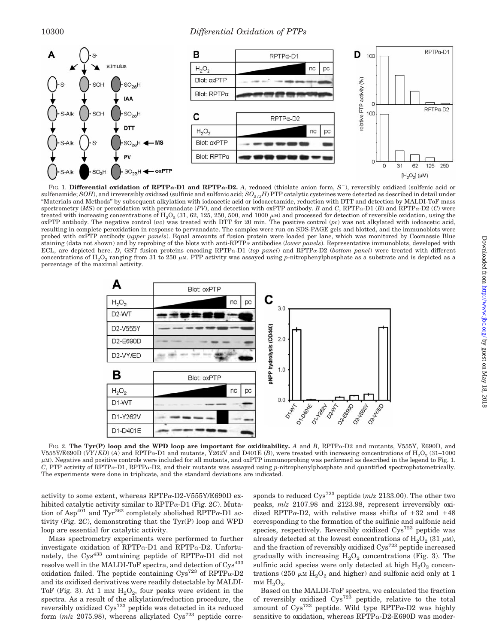

FIG. 1. Differential oxidation of RPTP $\alpha$ -D1 and RPTP $\alpha$ -D2. A, reduced (thiolate anion form,  $S^-$ ), reversibly oxidized (sulfenic acid or sulfenamide; *SOH*), and irreversibly oxidized (sulfinic and sulfonic acid; *SO2/3H*) PTP catalytic cysteines were detected as described in detail under "Materials and Methods" by subsequent alkylation with iodoacetic acid or iodoacetamide, reduction with DTT and detection by MALDI-ToF mass spectrometry (*MS*) or peroxidation with pervanadate (*PV*), and detection with oxPTP antibody. *B* and *C*, RPTP $\alpha$ -D1 (*B*) and RPTP $\alpha$ -D2 (*C*) were treated with increasing concentrations of  $\text{H}_{2}\text{O}_{2}$  (31, 62, 125, 250, 500, and 1000  $\mu$ m) and processed for detection of reversible oxidation, using the oxPTP antibody. The negative control (*nc*) was treated with DTT for 20 min. The positive control (*pc*) was not alkylated with iodoacetic acid, resulting in complete peroxidation in response to pervanadate. The samples were run on SDS-PAGE gels and blotted, and the immunoblots were probed with oxPTP antibody (*upper panels*). Equal amounts of fusion protein were loaded per lane, which was monitored by Coomassie Blue staining (data not shown) and by reprobing of the blots with anti-RPTP antibodies (*lower panels*). Representative immunoblots, developed with ECL, are depicted here. *D*, GST fusion proteins encoding RPTP $\alpha$ -D1 (*top panel*) and RPTP $\alpha$ -D2 (*bottom panel*) were treated with different concentrations of  $\rm H_2O_2$  ranging from 31 to 250  $\mu$ m. PTP activity was assayed using *p*-nitrophenylphosphate as a substrate and is depicted as a percentage of the maximal activity.



FIG. 2. The Tyr(P) loop and the WPD loop are important for oxidizability. A and B, RPTPa-D2 and mutants, V555Y, E690D, and V555Y/E690D (VY/ED) (A) and RPTP $\alpha$ -D1 and mutants, Y262V and D401E (B), were treated with increasing concentrations of H<sub>2</sub>O<sub>2</sub> (31–1000)  $\mu$ m). Negative and positive controls were included for all mutants, and oxPTP immunoprobing was performed as described in the legend to Fig. 1.  $C$ , PTP activity of RPTP $\alpha$ -D1, RPTP $\alpha$ -D2, and their mutants was assayed using *p*-nitrophenylphosphate and quantified spectrophotometrically. The experiments were done in triplicate, and the standard deviations are indicated.

activity to some extent, whereas RPTP $\alpha$ -D2-V555Y/E690D exhibited catalytic activity similar to  $RPTP\alpha-D1$  (Fig. 2*C*). Mutation of Asp<sup>401</sup> and Tyr<sup>262</sup> completely abolished RPTP $\alpha$ -D1 activity (Fig. 2*C*), demonstrating that the Tyr(P) loop and WPD loop are essential for catalytic activity.

Mass spectrometry experiments were performed to further investigate oxidation of RPTP $\alpha$ -D1 and RPTP $\alpha$ -D2. Unfortunately, the Cys<sup>433</sup> containing peptide of RPTP $\alpha$ -D1 did not resolve well in the MALDI-ToF spectra, and detection of Cys<sup>433</sup> oxidation failed. The peptide containing  $C_{\text{VS}}^{723}$  of RPTP $\alpha$ -D2 and its oxidized derivatives were readily detectable by MALDI-ToF (Fig. 3). At 1 mm  $H_2O_2$ , four peaks were evident in the spectra. As a result of the alkylation/reduction procedure, the reversibly oxidized Cys723 peptide was detected in its reduced form  $(m/z 2075.98)$ , whereas alkylated  $C_{VS}^{723}$  peptide corre-

sponds to reduced Cys723 peptide (*m*/*z* 2133.00). The other two peaks, *m*/*z* 2107.98 and 2123.98, represent irreversibly oxidized RPTP $\alpha$ -D2, with relative mass shifts of +32 and +48 corresponding to the formation of the sulfinic and sulfonic acid species, respectively. Reversibly oxidized  $C_{\text{VS}}^{723}$  peptide was already detected at the lowest concentrations of  $\rm H_2O_2$  (31  $\rm \mu M$ ), and the fraction of reversibly oxidized  $\text{Cys}^{723}$  peptide increased gradually with increasing  $H_2O_2$  concentrations (Fig. 3). The sulfinic acid species were only detected at high  $H_2O_2$  concentrations (250  $\mu$ m  $\text{H}_{2}\text{O}_{2}$  and higher) and sulfonic acid only at 1 m<sub>M</sub>  $H_2O_2$ .

Based on the MALDI-ToF spectra, we calculated the fraction of reversibly oxidized  $Cys^{723}$  peptide, relative to the total amount of  $Cys^{723}$  peptide. Wild type RPTP $\alpha$ -D2 was highly sensitive to oxidation, whereas  $RPTP_{\alpha}$ -D2-E690D was moder-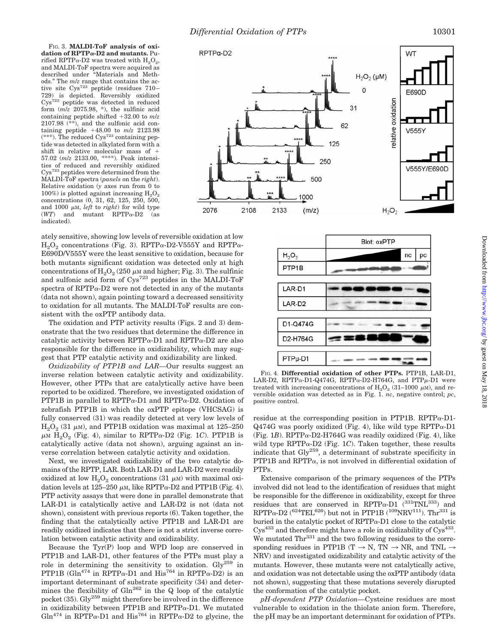FIG. 3. **MALDI-ToF analysis of oxidation of RPTP-D2 and mutants.** Purified RPTP $\alpha$ -D2 was treated with  $H_2O_2$ , and MALDI-ToF spectra were acquired as described under "Materials and Methods." The *m*/*z* range that contains the active site Cys723 peptide (residues 710 – 729) is depicted. Reversibly oxidized Cys<sup>723</sup> peptide was detected in reduced form (*m*/*z* 2075.98, \*), the sulfinic acid containing peptide shifted  $+32.00$  to  $m/z$ 2107.98  $(**)$ , and the sulfonic acid containing peptide  $+48.00$  to  $m/z$  2123.98 \*\*\*). The reduced  $Cys^{723}$  containing peptide was detected in alkylated form with a shift in relative molecular mass of 57.02 (*m*/*z* 2133.00, \*\*\*\*). Peak intensities of reduced and reversibly oxidized Cys723 peptides were determined from the MALDI-ToF spectra (*panels* on the *right*). Relative oxidation (*y* axes run from 0 to 100%) is plotted against increasing  $H_2O_2$ concentrations (0, 31, 62, 125, 250, 500, and 1000  $\mu$ <sub>M</sub>, *left* to *right*) for wild type  $(WT)$  and mutant RPTP $\alpha$ -D2 indicated).

ately sensitive, showing low levels of reversible oxidation at low  $H_2O_2$  concentrations (Fig. 3). RPTP $\alpha$ -D2-V555Y and RPTP $\alpha$ -E690D/V555Y were the least sensitive to oxidation, because for both mutants significant oxidation was detected only at high concentrations of  $\rm H_2O_2$  (250  $\mu$ M and higher; Fig. 3). The sulfinic and sulfonic acid form of Cys723 peptides in the MALDI-ToF spectra of RPTP $\alpha$ -D2 were not detected in any of the mutants (data not shown), again pointing toward a decreased sensitivity to oxidation for all mutants. The MALDI-ToF results are consistent with the oxPTP antibody data.

The oxidation and PTP activity results (Figs. 2 and 3) demonstrate that the two residues that determine the difference in catalytic activity between RPTP $\alpha$ -D1 and RPTP $\alpha$ -D2 are also responsible for the difference in oxidizability, which may suggest that PTP catalytic activity and oxidizability are linked.

*Oxidizability of PTP1B and LAR—*Our results suggest an inverse relation between catalytic activity and oxidizability. However, other PTPs that are catalytically active have been reported to be oxidized. Therefore, we investigated oxidation of PTP1B in parallel to RPTP $\alpha$ -D1 and RPTP $\alpha$ -D2. Oxidation of zebrafish PTP1B in which the oxPTP epitope (VHCSAG) is fully conserved (31) was readily detected at very low levels of  $\text{H}_2\text{O}_2$  (31  $\mu$ M), and PTP1B oxidation was maximal at 125–250  $\mu$ M H<sub>2</sub>O<sub>2</sub> (Fig. 4), similar to RPTP $\alpha$ -D2 (Fig. 1*C*). PTP1B is catalytically active (data not shown), arguing against an inverse correlation between catalytic activity and oxidation.

Next, we investigated oxidizability of the two catalytic domains of the RPTP, LAR. Both LAR-D1 and LAR-D2 were readily oxidized at low  $H_2O_2$  concentrations (31  $\mu$ M) with maximal oxidation levels at  $125-250 \mu$ m, like RPTP $\alpha$ -D2 and PTP1B (Fig. 4). PTP activity assays that were done in parallel demonstrate that LAR-D1 is catalytically active and LAR-D2 is not (data not shown), consistent with previous reports (6). Taken together, the finding that the catalytically active PTP1B and LAR-D1 are readily oxidized indicates that there is not a strict inverse correlation between catalytic activity and oxidizability.

Because the Tyr(P) loop and WPD loop are conserved in PTP1B and LAR-D1, other features of the PTPs must play a role in determining the sensitivity to oxidation.  $\text{Gly}^{259}$  in PTP1B (Gln<sup>474</sup> in RPTP $\alpha$ -D1 and His<sup>764</sup> in RPTP $\alpha$ -D2) is an important determinant of substrate specificity (34) and determines the flexibility of Gln<sup>262</sup> in the Q loop of the catalytic pocket  $(35)$ . Gly<sup>259</sup> might therefore be involved in the difference in oxidizability between PTP1B and RPTP $\alpha$ -D1. We mutated  $G\ln^{474}$  in RPTP $\alpha$ -D1 and His<sup>764</sup> in RPTP $\alpha$ -D2 to glycine, the





FIG. 4. **Differential oxidation of other PTPs.** PTP1B, LAR-D1, LAR-D2, RPTP $\alpha$ -D1-Q474G, RPTP $\alpha$ -D2-H764G, and PTP $\mu$ -D1 were treated with increasing concentrations of  $H_2O_2$  (31–1000  $\mu$ M), and reversible oxidation was detected as in Fig. 1. *nc*, negative control; *pc*, positive control.

residue at the corresponding position in PTP1B. RPTP $\alpha$ -D1-Q474G was poorly oxidized (Fig. 4), like wild type RPTP $\alpha$ -D1 (Fig. 1*B*). RPTP $\alpha$ -D2-H764G was readily oxidized (Fig. 4), like wild type RPTP $\alpha$ -D2 (Fig. 1*C*). Taken together, these results indicate that Gly259, a determinant of substrate specificity in PTP1B and RPTP $\alpha$ , is not involved in differential oxidation of PTPs.

Extensive comparison of the primary sequences of the PTPs involved did not lead to the identification of residues that might be responsible for the difference in oxidizability, except for three residues that are conserved in RPTP $\alpha$ -D1 (<sup>331</sup>TNL<sup>333</sup>) and RPTP $\alpha$ -D2 (<sup>624</sup>TEL<sup>626</sup>) but not in PTP1B (<sup>109</sup>NRV<sup>111</sup>). Thr<sup>331</sup> is buried in the catalytic pocket of  $RPTP\alpha-D1$  close to the catalytic  $Cys^{433}$  and therefore might have a role in oxidizability of  $Cys^{433}$ . We mutated  $\text{Thr}^{331}$  and the two following residues to the corresponding residues in PTP1B (T  $\rightarrow$  N, TN  $\rightarrow$  NR, and TNL  $\rightarrow$ NRV) and investigated oxidizability and catalytic activity of the mutants. However, these mutants were not catalytically active, and oxidation was not detectable using the oxPTP antibody (data not shown), suggesting that these mutations severely disrupted the conformation of the catalytic pocket.

*pH-dependent PTP Oxidation—*Cysteine residues are most vulnerable to oxidation in the thiolate anion form. Therefore, the pH may be an important determinant for oxidation of PTPs.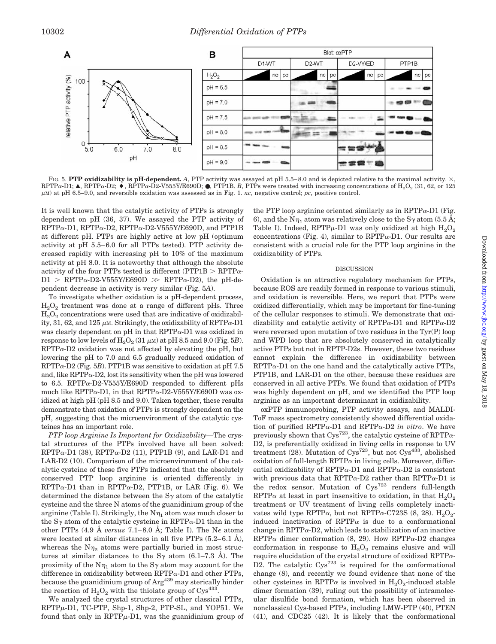

FIG. 5. PTP oxidizability is pH-dependent. A, PTP activity was assayed at pH 5.5–8.0 and is depicted relative to the maximal activity.  $\times$ ,  $RPTP\alpha-D1$ ; A,  $RPTP\alpha-D2$ ;  $\blacklozenge$ ,  $RPTP\alpha-D2-V555Y/E690D$ ;  $\blacklozenge$ , PTP1B. *B*, PTPs were treated with increasing concentrations of  $H_2O_2$  (31, 62, or 125  $\mu$ M) at pH 6.5–9.0, and reversible oxidation was assessed as in Fig. 1. *nc*, negative control; *pc*, positive control.

It is well known that the catalytic activity of PTPs is strongly dependent on pH (36, 37). We assayed the PTP activity of  $RPTP\alpha-D1$ ,  $RPTP\alpha-D2$ ,  $RPTP\alpha-D2-V555Y/E690D$ , and PTP1B at different pH. PTPs are highly active at low pH (optimum activity at pH 5.5– 6.0 for all PTPs tested). PTP activity decreased rapidly with increasing pH to 10% of the maximum activity at pH 8.0. It is noteworthy that although the absolute activity of the four PTPs tested is different (PTP1B  $>$  RPTP $\alpha$ - $D1 > RPTP_{\alpha} - D2 - V555Y/E690D \gg RPTP_{\alpha} - D2$ , the pH-dependent decrease in activity is very similar (Fig. 5*A*).

To investigate whether oxidation is a pH-dependent process,  $H<sub>2</sub>O<sub>2</sub>$  treatment was done at a range of different pHs. Three  $H<sub>2</sub>O<sub>2</sub>$  concentrations were used that are indicative of oxidizability, 31, 62, and 125  $\mu$ m. Strikingly, the oxidizability of RPTP $\alpha$ -D1 was clearly dependent on  $pH$  in that  $RPTP\alpha-D1$  was oxidized in response to low levels of  $\text{H}_{2}\text{O}_{2}$  (31  $\mu$ m) at pH 8.5 and 9.0 (Fig. 5*B*).  $RPTP\alpha-D2$  oxidation was not affected by elevating the pH, but lowering the pH to 7.0 and 6.5 gradually reduced oxidation of  $RPTP\alpha-D2$  (Fig. 5*B*). PTP1B was sensitive to oxidation at pH 7.5 and, like RPTP $\alpha$ -D2, lost its sensitivity when the pH was lowered to 6.5. RPTP $\alpha$ -D2-V555Y/E690D responded to different pHs much like RPTP $\alpha$ -D1, in that RPTP $\alpha$ -D2-V555Y/E690D was oxidized at high pH (pH 8.5 and 9.0). Taken together, these results demonstrate that oxidation of PTPs is strongly dependent on the pH, suggesting that the microenvironment of the catalytic cysteines has an important role.

*PTP loop Arginine Is Important for Oxidizability—*The crystal structures of the PTPs involved have all been solved:  $RPTP\alpha-D1$  (38),  $RPTP\alpha-D2$  (11), PTP1B (9), and LAR-D1 and LAR-D2 (10). Comparison of the microenvironment of the catalytic cysteine of these five PTPs indicated that the absolutely conserved PTP loop arginine is oriented differently in  $RPTP\alpha$ -D1 than in  $RPTP\alpha$ -D2, PTP1B, or LAR (Fig. 6). We determined the distance between the  $S<sub>\gamma</sub>$  atom of the catalytic cysteine and the three N atoms of the guanidinium group of the arginine (Table I). Strikingly, the  $N\eta_1$  atom was much closer to the S<sub> $\gamma$ </sub> atom of the catalytic cysteine in RPTP $\alpha$ -D1 than in the other PTPs (4.9 Å *versus* 7.1–8.0 Å; Table I). The N<sub> $\epsilon$ </sub> atoms were located at similar distances in all five PTPs  $(5.2-6.1 \text{ Å})$ , whereas the  $N_{\eta_2}$  atoms were partially buried in most structures at similar distances to the S $\gamma$  atom (6.1–7.3 Å). The proximity of the  $N\eta_1$  atom to the S<sub> $\gamma$ </sub> atom may account for the difference in oxidizability between  $RPTP\alpha-D1$  and other PTPs, because the guanidinium group of  $Arg<sup>439</sup>$  may sterically hinder the reaction of  $H_2O_2$  with the thiolate group of Cys<sup>433</sup>.

We analyzed the crystal structures of other classical PTPs,  $RPTP<sub>µ</sub>-D1$ , TC-PTP, Shp-1, Shp-2, PTP-SL, and YOP51. We found that only in  $RPTP\mu$ -D1, was the guanidinium group of the PTP loop arginine oriented similarly as in RPTP $\alpha$ -D1 (Fig. 6), and the N<sub>1</sub> atom was relatively close to the S<sub>2</sub> atom (5.5 Å; Table I). Indeed, RPTP $\mu$ -D1 was only oxidized at high  ${\rm H_2O_2}$ concentrations (Fig. 4), similar to  $RPTP\alpha-D1$ . Our results are consistent with a crucial role for the PTP loop arginine in the oxidizability of PTPs.

#### DISCUSSION

Oxidation is an attractive regulatory mechanism for PTPs, because ROS are readily formed in response to various stimuli, and oxidation is reversible. Here, we report that PTPs were oxidized differentially, which may be important for fine-tuning of the cellular responses to stimuli. We demonstrate that oxidizability and catalytic activity of RPTP $\alpha$ -D1 and RPTP $\alpha$ -D2 were reversed upon mutation of two residues in the Tyr(P) loop and WPD loop that are absolutely conserved in catalytically active PTPs but not in RPTP-D2s. However, these two residues cannot explain the difference in oxidizability between  $RPTP\alpha-D1$  on the one hand and the catalytically active PTPs, PTP1B, and LAR-D1 on the other, because these residues are conserved in all active PTPs. We found that oxidation of PTPs was highly dependent on pH, and we identified the PTP loop arginine as an important determinant in oxidizability.

oxPTP immunoprobing, PTP activity assays, and MALDI-ToF mass spectrometry consistently showed differential oxidation of purified RPTP $\alpha$ -D1 and RPTP $\alpha$ -D2 *in vitro*. We have previously shown that  $Cys^{723}$ , the catalytic cysteine of RPTP $\alpha$ -D2, is preferentially oxidized in living cells in response to UV treatment (28). Mutation of  $Cys^{723}$ , but not  $Cys^{433}$ , abolished oxidation of full-length  $RPTP\alpha$  in living cells. Moreover, differential oxidizability of RPTP $\alpha$ -D1 and RPTP $\alpha$ -D2 is consistent with previous data that RPTP $\alpha$ -D2 rather than RPTP $\alpha$ -D1 is the redox sensor. Mutation of Cys<sup>723</sup> renders full-length RPTP $\alpha$  at least in part insensitive to oxidation, in that  $H_2O_2$ treatment or UV treatment of living cells completely inactivates wild type RPTP $\alpha$ , but not RPTP $\alpha$ -C723S (8, 28). H<sub>2</sub>O<sub>2</sub>induced inactivation of RPTP $\alpha$  is due to a conformational change in RPTP $\alpha$ -D2, which leads to stabilization of an inactive  $RPTP\alpha$  dimer conformation (8, 29). How  $RPTP\alpha$ -D2 changes conformation in response to  $H_2O_2$  remains elusive and will require elucidation of the crystal structure of oxidized RPTP $\alpha$ -D2. The catalytic  $C_{\text{VS}}^{723}$  is required for the conformational change (8), and recently we found evidence that none of the other cysteines in RPTP $\alpha$  is involved in H<sub>2</sub>O<sub>2</sub>-induced stable dimer formation (39), ruling out the possibility of intramolecular disulfide bond formation, which has been observed in nonclassical Cys-based PTPs, including LMW-PTP (40), PTEN (41), and CDC25 (42). It is likely that the conformational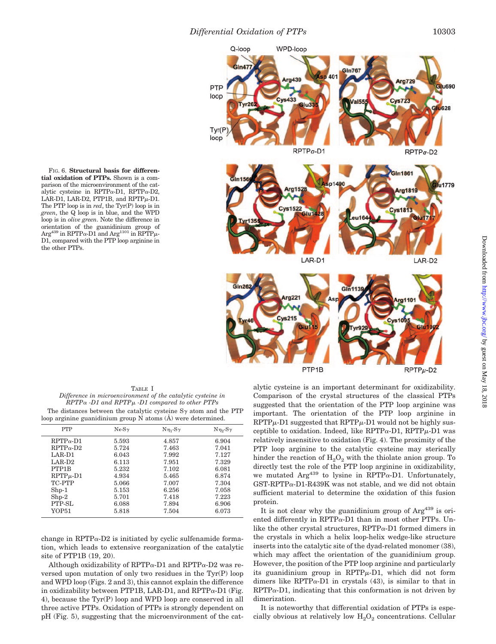

**tial oxidation of PTPs.** Shown is a comparison of the microenvironment of the catalytic cysteine in RPTP $\alpha$ -D1, RPTP $\alpha$ -D2 LAR-D1, LAR-D2, PTP1B, and  $RPTP\mu$ -D1. The PTP loop is in *red*, the Tyr(P) loop is in *green*, the Q loop is in blue, and the WPD loop is in *olive green*. Note the difference in orientation of the guanidinium group of  $\text{Arg}^{439}$  in RPTP $\alpha$ -D1 and  $\text{Arg}^{1101}$  in RPTP $\mu$ -D1, compared with the PTP loop arginine in the other PTPs.

FIG. 6. **Structural basis for differen-**

TABLE I *Difference in microenvironment of the catalytic cysteine in RPTP -D1 and RPTP*- *-D1 compared to other PTPs* The distances between the catalytic cysteine  $S<sub>\gamma</sub>$  atom and the PTP loop arginine guanidinium group N atoms (Å) were determined.

| <b>PTP</b>                      | $N\epsilon$ - $S\gamma$ | $N_{\eta_1}$ -S $\gamma$ | $N\eta_2-S\gamma$ |
|---------------------------------|-------------------------|--------------------------|-------------------|
| $RPTP_{\alpha}$ -D1             | 5.593                   | 4.857                    | 6.904             |
| $RPTP_{\alpha}$ -D <sub>2</sub> | 5.724                   | 7.463                    | 7.041             |
| LAR-D1                          | 6.043                   | 7.992                    | 7.127             |
| $LAR-D2$                        | 6.113                   | 7.951                    | 7.329             |
| PTP1B                           | 5.232                   | 7.102                    | 6.081             |
| $RPTP\mu$ -D1                   | 4.934                   | 5.465                    | 6.874             |
| TC-PTP                          | 5.066                   | 7.007                    | 7.304             |
| $Shp-1$                         | 5.153                   | 6.256                    | 7.058             |
| $Shp-2$                         | 5.701                   | 7.418                    | 7.223             |
| PTP-SL                          | 6.088                   | 7.894                    | 6.906             |
| YOP51                           | 5.818                   | 7.504                    | 6.073             |
|                                 |                         |                          |                   |

change in RPTP $\alpha$ -D2 is initiated by cyclic sulfenamide formation, which leads to extensive reorganization of the catalytic site of PTP1B (19, 20).

Although oxidizability of RPTP $\alpha$ -D1 and RPTP $\alpha$ -D2 was reversed upon mutation of only two residues in the Tyr(P) loop and WPD loop (Figs. 2 and 3), this cannot explain the difference in oxidizability between PTP1B, LAR-D1, and RPTP $\alpha$ -D1 (Fig. 4), because the Tyr(P) loop and WPD loop are conserved in all three active PTPs. Oxidation of PTPs is strongly dependent on pH (Fig. 5), suggesting that the microenvironment of the catalytic cysteine is an important determinant for oxidizability. Comparison of the crystal structures of the classical PTPs suggested that the orientation of the PTP loop arginine was important. The orientation of the PTP loop arginine in  $RPTP\mu$ -D1 suggested that  $RPTP\mu$ -D1 would not be highly susceptible to oxidation. Indeed, like  $RPTP\alpha-D1$ ,  $RPTP\mu-D1$  was relatively insensitive to oxidation (Fig. 4). The proximity of the PTP loop arginine to the catalytic cysteine may sterically hinder the reaction of  $H_2O_2$  with the thiolate anion group. To directly test the role of the PTP loop arginine in oxidizability, we mutated Arg<sup>439</sup> to lysine in RPTP $\alpha$ -D1. Unfortunately,  $GST-RPTP\alpha-D1-R439K$  was not stable, and we did not obtain sufficient material to determine the oxidation of this fusion protein.

It is not clear why the guanidinium group of  $Arg<sup>439</sup>$  is oriented differently in  $RPTP\alpha$ -D1 than in most other PTPs. Unlike the other crystal structures,  $RPTP\alpha-D1$  formed dimers in the crystals in which a helix loop-helix wedge-like structure inserts into the catalytic site of the dyad-related monomer (38), which may affect the orientation of the guanidinium group. However, the position of the PTP loop arginine and particularly its guanidinium group in  $RPTP\mu-D1$ , which did not form dimers like RPTP $\alpha$ -D1 in crystals (43), is similar to that in  $RPTP\alpha-D1$ , indicating that this conformation is not driven by dimerization.

It is noteworthy that differential oxidation of PTPs is especially obvious at relatively low  $H_2O_2$  concentrations. Cellular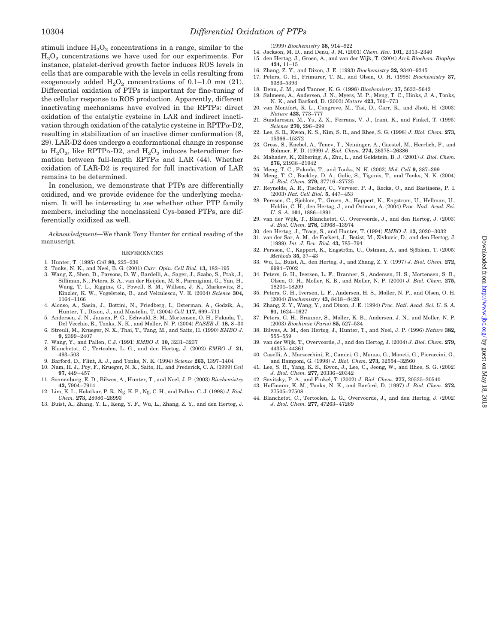stimuli induce  $H_2O_2$  concentrations in a range, similar to the  $H<sub>2</sub>O<sub>2</sub>$  concentrations we have used for our experiments. For instance, platelet-derived growth factor induces ROS levels in cells that are comparable with the levels in cells resulting from exogenously added  $H_2O_2$  concentrations of 0.1–1.0 mm (21). Differential oxidation of PTPs is important for fine-tuning of the cellular response to ROS production. Apparently, different inactivating mechanisms have evolved in the RPTPs: direct oxidation of the catalytic cysteine in LAR and indirect inactivation through oxidation of the catalytic cysteine in  $RPTP_{\alpha}$ -D2, resulting in stabilization of an inactive dimer conformation (8, 29). LAR-D2 does undergo a conformational change in response to  $H_2O_2$ , like RPTP $\alpha$ -D2, and  $H_2O_2$  induces heterodimer formation between full-length RPTP $\alpha$  and LAR (44). Whether oxidation of LAR-D2 is required for full inactivation of LAR remains to be determined.

In conclusion, we demonstrate that PTPs are differentially oxidized, and we provide evidence for the underlying mechanism. It will be interesting to see whether other PTP family members, including the nonclassical Cys-based PTPs, are differentially oxidized as well.

*Acknowledgment—*We thank Tony Hunter for critical reading of the manuscript.

#### **REFERENCES**

- 1. Hunter, T. (1995) *Cell* **80,** 225–236
- 2. Tonks, N. K., and Neel, B. G. (2001) *Curr. Opin. Cell Biol.* **13,** 182–195
- 3. Wang, Z., Shen, D., Parsons, D. W., Bardelli, A., Sager, J., Szabo, S., Ptak, J., Silliman, N., Peters, B. A., van der Heijden, M. S., Parmigiani, G., Yan, H., Wang, T. L., Riggins, G., Powell, S. M., Willson, J. K., Markowitz, S., Kinzler, K. W., Vogelstein, B., and Velculescu, V. E. (2004) *Science* **304,** 1164 –1166
- 4. Alonso, A., Sasin, J., Bottini, N., Friedberg, I., Osterman, A., Godzik, A., Hunter, T., Dixon, J., and Mustelin, T. (2004) *Cell* **117,** 699 –711
- 5. Andersen, J. N., Jansen, P. G., Echwald, S. M., Mortensen, O. H., Fukada, T., Del Vecchio, R., Tonks, N. K., and Moller, N. P. (2004) *FASEB J.* **18,** 8 –30
- 6. Streuli, M., Krueger, N. X., Thai, T., Tang, M., and Saito, H. (1990) *EMBO J.* **9,** 2399 –2407
- 7. Wang, Y., and Pallen, C.J. (1991) *EMBO J.* **10,** 3231–3237
- 8. Blanchetot, C., Tertoolen, L. G., and den Hertog, J. (2002) *EMBO J.* **21,** 493–503
- 9. Barford, D., Flint, A. J., and Tonks, N. K. (1994) *Science* **263,** 1397–1404 10. Nam, H. J., Poy, F., Krueger, N. X., Saito, H., and Frederick, C. A. (1999) *Cell*
- **97,** 449 457 11. Sonnenburg, E. D., Bilwes, A., Hunter, T., and Noel, J. P. (2003) *Biochemistry* **42,** 7904 –7914
- 12. Lim, K. L., Kolatkar, P. R., Ng, K. P., Ng, C. H., and Pallen, C. J. (1998) *J. Biol. Chem.* **273,** 28986 –28993
- 13. Buist, A., Zhang, Y. L., Keng, Y. F., Wu, L., Zhang, Z. Y., and den Hertog, J.

(1999) *Biochemistry* **38,** 914 –922

- 14. Jackson, M. D., and Denu, J. M. (2001) *Chem. Rev.* **101,** 2313–2340
- 15. den Hertog, J., Groen, A., and van der Wijk, T. (2004) *Arch Biochem. Biophys* **434,** 11–15
- 16. Zhang, Z. Y., and Dixon, J. E. (1993) *Biochemistry* **32,** 9340 –9345
- 17. Peters, G. H., Frimurer, T. M., and Olsen, O. H. (1998) *Biochemistry* **37,** 5383–5393
- 18. Denu, J. M., and Tanner, K. G. (1998) *Biochemistry* **37,** 5633–5642
- 19. Salmeen, A., Andersen, J. N., Myers, M. P., Meng, T. C., Hinks, J. A., Tonks, N. K., and Barford, D. (2003) *Nature* **423,** 769 –773
- 20. van Montfort, R. L., Congreve, M., Tisi, D., Carr, R., and Jhoti, H. (2003) *Nature* **423,** 773–777
- 21. Sundaresan, M., Yu, Z. X., Ferrans, V. J., Irani, K., and Finkel, T. (1995) *Science* **270,** 296 –299
- 22. Lee, S. R., Kwon, K. S., Kim, S. R., and Rhee, S. G. (1998) *J. Biol. Chem.* **273,** 15366 –15372
- 23. Gross, S., Knebel, A., Tenev, T., Neininger, A., Gaestel, M., Herrlich, P., and Bohmer, F. D. (1999) *J. Biol. Chem.* **274,** 26378 –26386 24. Mahadev, K., Zilbering, A., Zhu, L., and Goldstein, B. J. (2001) *J. Biol. Chem.*
- **276,** 21938 –21942
- 25. Meng, T. C., Fukada, T., and Tonks, N. K. (2002) *Mol. Cell* **9,** 387–399
- 26. Meng, T. C., Buckley, D. A., Galic, S., Tiganis, T., and Tonks, N. K. (2004) *J. Biol. Chem.* **279,** 37716 –37725
- 27. Reynolds, A. R., Tischer, C., Verveer, P. J., Rocks, O., and Bastiaens, P. I. (2003) *Nat. Cell Biol.* **5,** 447– 453
- 28. Persson, C., Sjöblom, T., Groen, A., Kappert, K., Engström, U., Hellman, U., Heldin, C. H., den Hertog, J., and Östman, A. (2004) Proc. Natl. Acad. Sci. *U. S. A.* **101,** 1886 –1891
- 29. van der Wijk, T., Blanchetot, C., Overvoorde, J., and den Hertog, J. (2003) *J. Biol. Chem.* **278,** 13968 –13974
- 30. den Hertog, J., Tracy, S., and Hunter, T. (1994) *EMBO J.* **13,** 3020 –3032
- 31. van der Sar, A. M., de Fockert, J., Betist, M., Zivkovic, D., and den Hertog, J. (1999). *Int. J. Dev. Biol.* **43,** 785–794
- 32. Persson, C., Kappert, K., Engström, U., Östman, A., and Sjöblom, T. (2005)<br> *Methods* **35,** 37–43
- 33. Wu, L., Buist, A., den Hertog, J., and Zhang, Z. Y. (1997) *J. Biol. Chem.* **272,** 6994 –7002
- 34. Peters, G. H., Iversen, L. F., Branner, S., Andersen, H. S., Mortensen, S. B., Olsen, O. H., Moller, K. B., and Moller, N. P. (2000) *J. Biol. Chem.* **275,** 18201–18209
- 35. Peters, G. H., Iversen, L. F., Andersen, H. S., Moller, N. P., and Olsen, O. H. (2004) *Biochemistry* **43,** 8418 – 8428
- 36. Zhang, Z. Y., Wang, Y., and Dixon, J. E. (1994) *Proc. Natl. Acad. Sci. U. S. A.* **91,** 1624 –1627
- 37. Peters, G. H., Branner, S., Moller, K. B., Andersen, J. N., and Moller, N. P. (2003) *Biochimie* (*Paris*) **85,** 527–534
- 38. Bilwes, A. M., den Hertog, J., Hunter, T., and Noel, J. P. (1996) *Nature* **382,** 555–559
- 39. van der Wijk, T., Overvoorde, J., and den Hertog, J. (2004) *J. Biol. Chem.* **279,** 44355– 44361
- 40. Caselli, A., Marzocchini, R., Camici, G., Manao, G., Moneti, G., Pieraccini, G., and Ramponi, G. (1998) *J. Biol. Chem.* **273,** 32554 –32560
- 41. Lee, S. R., Yang, K. S., Kwon, J., Lee, C., Jeong, W., and Rhee, S. G. (2002) *J. Biol. Chem.* **277,** 20336 –20342
- 42. Savitsky, P. A., and Finkel, T. (2002) *J. Biol. Chem.* **277,** 20535–20540
- 43. Hoffmann, K. M., Tonks, N. K., and Barford, D. (1997) *J. Biol. Chem.* **272,** 27505–27508
- 44. Blanchetot, C., Tertoolen, L. G., Overvoorde, J., and den Hertog, J. (2002) *J. Biol. Chem.* **277,** 47263– 47269